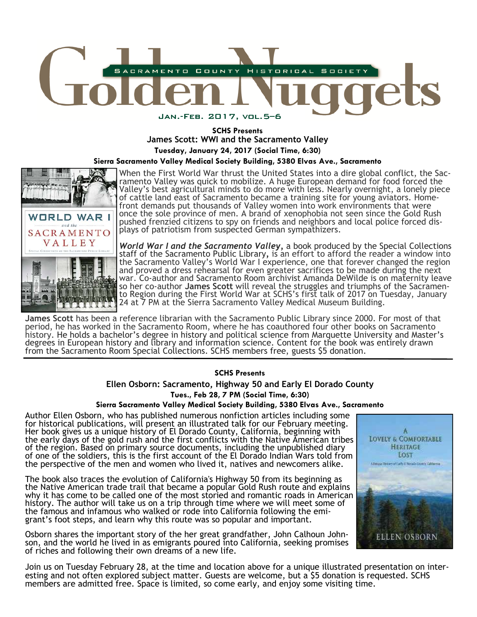

# **SCHS Presents James Scott: WWI and the Sacramento Valley Tuesday, January 24, 2017 (Social Time, 6:30)**

**Sierra Sacramento Valley Medical Society Building, 5380 Elvas Ave., Sacramento** 



When the First World War thrust the United States into a dire global conflict, the Sacramento Valley was quick to mobilize. A huge European demand for food forced the Valley's best agricultural minds to do more with less. Nearly overnight, a lonely piece of cattle land east of Sacramento became a training site for young aviators. Homefront demands put thousands of Valley women into work environments that were once the sole province of men. A brand of xenophobia not seen since the Gold Rush pushed frenzied citizens to spy on friends and neighbors and local police forced displays of patriotism from suspected German sympathizers.

*World War I and the Sacramento Valley,* a book produced by the Special Collections staff of the Sacramento Public Library*,* is an effort to afford the reader a window into the Sacramento Valley's World War I experience, one that forever changed the region and proved a dress rehearsal for even greater sacrifices to be made during the next war. Co-author and Sacramento Room archivist Amanda DeWilde is on maternity leave so her co-author **James Scott** will reveal the struggles and triumphs of the Sacramento Region during the First World War at SCHS's first talk of 2017 on Tuesday, January 24 at 7 PM at the Sierra Sacramento Valley Medical Museum Building.

**James Scott** has been a reference librarian with the Sacramento Public Library since 2000. For most of that period, he has worked in the Sacramento Room, where he has coauthored four other books on Sacramento history. He holds a bachelor's degree in history and political science from Marquette University and Master's degrees in European history and library and information science. Content for the book was entirely drawn from the Sacramento Room Special Collections. SCHS members free, guests \$5 donation.

# **SCHS Presents**

**Ellen Osborn: Sacramento, Highway 50 and Early El Dorado County** 

**Tues., Feb 28, 7 PM (Social Time, 6:30)** 

#### **Sierra Sacramento Valley Medical Society Building, 5380 Elvas Ave., Sacramento**

Author Ellen Osborn, who has published numerous nonfiction articles including some for historical publications, will present an illustrated talk for our February meeting. Her book gives us a unique history of El Dorado County, California, beginning with the early days of the gold rush and the first conflicts with the Native American tribes of the region. Based on primary source documents, including the unpublished diary of one of the soldiers, this is the first account of the El Dorado Indian Wars told from the perspective of the men and women who lived it, natives and newcomers alike.

The book also traces the evolution of California's Highway 50 from its beginning as the Native American trade trail that became a popular Gold Rush route and explains why it has come to be called one of the most storied and romantic roads in American history. The author will take us on a trip through time where we will meet some of the famous and infamous who walked or rode into California following the emigrant's foot steps, and learn why this route was so popular and important.

Osborn shares the important story of the her great grandfather, John Calhoun Johnson, and the world he lived in as emigrants poured into California, seeking promises of riches and following their own dreams of a new life.



Join us on Tuesday February 28, at the time and location above for a unique illustrated presentation on interesting and not often explored subject matter. Guests are welcome, but a \$5 donation is requested. SCHS members are admitted free. Space is limited, so come early, and enjoy some visiting time.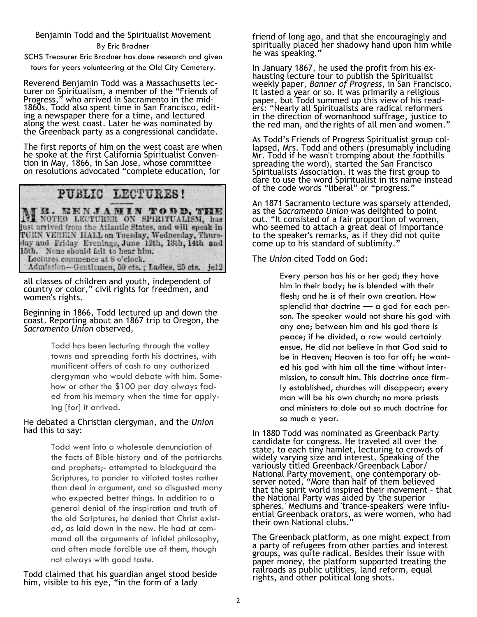# Benjamin Todd and the Spiritualist Movement

#### By Eric Bradner

SCHS Treasurer Eric Bradner has done research and given

tours for years volunteering at the Old City Cemetery.

Reverend Benjamin Todd was a Massachusetts lecturer on Spiritualism, a member of the "Friends of Progress," who arrived in Sacramento in the mid-1860s. Todd also spent time in San Francisco, editing a newspaper there for a time, and lectured along the west coast. Later he was nominated by the Greenback party as a congressional candidate.

The first reports of him on the west coast are when he spoke at the first California Spiritualist Convention in May, 1866, in San Jose, whose committee on resolutions advocated "complete education, for

# PUBLIC LECTURES!

M ROTED LECTURER ON SPIRITUALISM, has just arrived from the Atlantic States, and will speak in TURN VEREIN HALL on Tuesday, Wednesday, Thursday and Friday Evenings, June 12th, 13th, 14th and 15th. None should fail to hear him. Lectures commence at 8 o'clock.<br>Admission-Gentlemen, 50 cts.; Ladies, 25 cts. je12

all classes of children and youth, independent of country or color," civil rights for freedmen, and women's rights.

#### Beginning in 1866, Todd lectured up and down the coast. Reporting about an 1867 trip to Oregon, the *Sacramento Union* observed,

Todd has been lecturing through the valley towns and spreading forth his doctrines, with munificent offers of cash to any authorized clergyman who would debate with him. Somehow or other the \$100 per day always faded from his memory when the time for applying [for] it arrived.

### He debated a Christian clergyman, and the *Union* had this to say:

Todd went into a wholesale denunciation of the facts of Bible history and of the patriarchs and prophets;- attempted to blackguard the Scriptures, to pander to vitiated tastes rather than deal in argument, and so disgusted many who expected better things. In addition to a general denial of the inspiration and truth of the old Scriptures, he denied that Christ existed, as laid down in the new. He had at command all the arguments of infidel philosophy, and often made forcible use of them, though not always with good taste.

Todd claimed that his guardian angel stood beside him, visible to his eye, "in the form of a lady

friend of long ago, and that she encouragingly and spiritually placed her shadowy hand upon him while he was speaking."

In January 1867, he used the profit from his exhausting lecture tour to publish the Spiritualist weekly paper, *Banner of Progress*, in San Francisco. It lasted a year or so. It was primarily a religious paper, but Todd summed up this view of his readers: "Nearly all Spiritualists are radical reformers in the direction of womanhood suffrage, justice to the red man, and the rights of all men and women."

As Todd's Friends of Progress Spiritualist group collapsed, Mrs. Todd and others (presumably including Mr. Todd if he wasn't tromping about the foothills spreading the word), started the San Francisco Spiritualists Association. It was the first group to dare to use the word Spiritualist in its name instead of the code words "liberal" or "progress."

An 1871 Sacramento lecture was sparsely attended, as the *Sacramento Union* was delighted to point out. "It consisted of a fair proportion of women, who seemed to attach a great deal of importance to the speaker's remarks, as if they did not quite come up to his standard of sublimity."

The *Union* cited Todd on God:

Every person has his or her god; they have him in their body; he is blended with their flesh; and he is of their own creation. How splendid that doctrine — a god for each person. The speaker would not share his god with any one; between him and his god there is peace; if he divided, a row would certainly ensue. He did not believe in that God said to be in Heaven; Heaven is too far off; he wanted his god with him all the time without intermission, to consult him. This doctrine once firmly established, churches will disappear; every man will be his own church; no more priests and ministers to dole out so much doctrine for so much a year.

In 1880 Todd was nominated as Greenback Party candidate for congress. He traveled all over the state, to each tiny hamlet, lecturing to crowds of widely varying size and interest. Speaking of the variously titled Greenback/Greenback Labor/ National Party movement, one contemporary observer noted, "More than half of them believed that the spirit world inspired their movement – that the National Party was aided by 'the superior spheres.' Mediums and 'trance-speakers' were influential Greenback orators, as were women, who had their own National clubs."

The Greenback platform, as one might expect from a party of refugees from other parties and interest groups, was quite radical. Besides their issue with paper money, the platform supported treating the railroads as public utilities, land reform, equal rights, and other political long shots.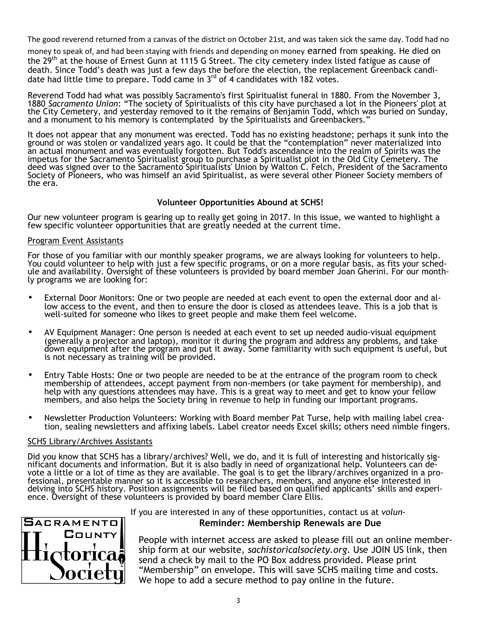The good reverend returned from a canvas of the district on October 21st, and was taken sick the same day. Todd had no

money to speak of, and had been staying with friends and depending on money earned from speaking. He died on the 29<sup>th</sup> at the house of Ernest Gunn at 1115 G Street. The city cemetery index listed fatigue as cause of death. Since Todd's death was just a few days the before the election, the replacement Greenback candidate had little time to prepare. Todd came in  $3^{rd}$  of 4 candidates with 182 votes.

Reverend Todd had what was possibly Sacramento's first Spiritualist funeral in 1880. From the November 3, 1880 *Sacramento Union*: "The society of Spiritualists of this city have purchased a lot in the Pioneers' plot at the City Cemetery, and yesterday removed to it the remains of Benjamin Todd, which was buried on Sunday, and a monument to his memory is contemplated by the Spiritualists and Greenbackers."

It does not appear that any monument was erected. Todd has no existing headstone; perhaps it sunk into the ground or was stolen or vandalized years ago. It could be that the "contemplation" never materialized into an actual monument and was eventually forgotten. But Todd's ascendance into the realm of Spirits was the impetus for the Sacramento Spiritualist group to purchase a Spiritualist plot in the Old City Cemetery. The deed was signed over to the Sacramento Spiritualists' Union by Walton C. Felch, President of the Sacramento Society of Pioneers, who was himself an avid Spiritualist, as were several other Pioneer Society members of the era.

# **Volunteer Opportunities Abound at SCHS!**

Our new volunteer program is gearing up to really get going in 2017. In this issue, we wanted to highlight a few specific volunteer opportunities that are greatly needed at the current time.

#### **Program Event Assistants**

For those of you familiar with our monthly speaker programs, we are always looking for volunteers to help. You could volunteer to help with just a few specific programs, or on a more regular basis, as fits your schedule and availability. Oversight of these volunteers is provided by board member Joan Gherini. For our monthly programs we are looking for:

- External Door Monitors: One or two people are needed at each event to open the external door and allow access to the event, and then to ensure the door is closed as attendees leave. This is a job that is well-suited for someone who likes to greet people and make them feel welcome.
- AV Equipment Manager: One person is needed at each event to set up needed audio-visual equipment (generally a projector and laptop), monitor it during the program and address any problems, and take down equipment after the program and put it away. Some familiarity with such equipment is useful, but is not necessary as training will be provided.
- Entry Table Hosts: One or two people are needed to be at the entrance of the program room to check membership of attendees, accept payment from non-members (or take payment for membership), and help with any questions attendees may have. This is a great way to meet and get to know your fellow members, and also helps the Society bring in revenue to help in funding our important programs.
- Newsletter Production Volunteers: Working with Board member Pat Turse, help with mailing label creation, sealing newsletters and affixing labels. Label creator needs Excel skills; others need nimble fingers.

#### SCHS Library/Archives Assistants

Did you know that SCHS has a library/archives? Well, we do, and it is full of interesting and historically significant documents and information. But it is also badly in need of organizational help. Volunteers can devote a little or a lot of time as they are available. The goal is to get the library/archives organized in a professional, presentable manner so it is accessible to researchers, members, and anyone else interested in delving into SCHS history. Position assignments will be filed based on qualified applicants' skills and experience. Oversight of these volunteers is provided by board member Clare Ellis.



### If you are interested in any of these opportunities, contact us at *volun-***Reminder: Membership Renewals are Due**

People with internet access are asked to please fill out an online membership form at our website, *sachistoricalsociety.org*. Use JOIN US link, then send a check by mail to the PO Box address provided. Please print "Membership" on envelope. This will save SCHS mailing time and costs. We hope to add a secure method to pay online in the future.